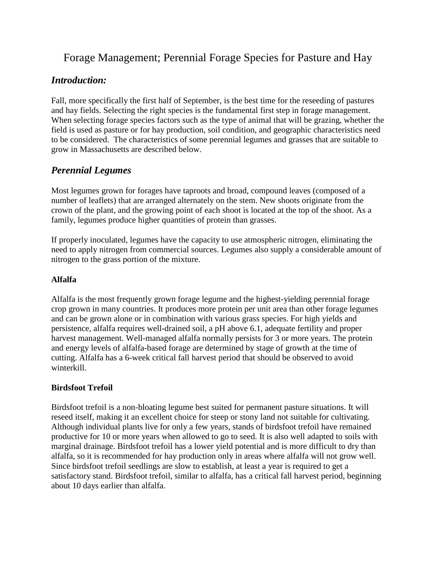# Forage Management; Perennial Forage Species for Pasture and Hay

# *Introduction:*

Fall, more specifically the first half of September, is the best time for the reseeding of pastures and hay fields. Selecting the right species is the fundamental first step in forage management. When selecting forage species factors such as the type of animal that will be grazing, whether the field is used as pasture or for hay production, soil condition, and geographic characteristics need to be considered. The characteristics of some perennial legumes and grasses that are suitable to grow in Massachusetts are described below.

# *Perennial Legumes*

Most legumes grown for forages have taproots and broad, compound leaves (composed of a number of leaflets) that are arranged alternately on the stem. New shoots originate from the crown of the plant, and the growing point of each shoot is located at the top of the shoot. As a family, legumes produce higher quantities of protein than grasses.

If properly inoculated, legumes have the capacity to use atmospheric nitrogen, eliminating the need to apply nitrogen from commercial sources. Legumes also supply a considerable amount of nitrogen to the grass portion of the mixture.

# **Alfalfa**

Alfalfa is the most frequently grown forage legume and the highest-yielding perennial forage crop grown in many countries. It produces more protein per unit area than other forage legumes and can be grown alone or in combination with various grass species. For high yields and persistence, alfalfa requires well-drained soil, a pH above 6.1, adequate fertility and proper harvest management. Well-managed alfalfa normally persists for 3 or more years. The protein and energy levels of alfalfa-based forage are determined by stage of growth at the time of cutting. Alfalfa has a 6-week critical fall harvest period that should be observed to avoid winterkill.

# **Birdsfoot Trefoil**

Birdsfoot trefoil is a non-bloating legume best suited for permanent pasture situations. It will reseed itself, making it an excellent choice for steep or stony land not suitable for cultivating. Although individual plants live for only a few years, stands of birdsfoot trefoil have remained productive for 10 or more years when allowed to go to seed. It is also well adapted to soils with marginal drainage. Birdsfoot trefoil has a lower yield potential and is more difficult to dry than alfalfa, so it is recommended for hay production only in areas where alfalfa will not grow well. Since birdsfoot trefoil seedlings are slow to establish, at least a year is required to get a satisfactory stand. Birdsfoot trefoil, similar to alfalfa, has a critical fall harvest period, beginning about 10 days earlier than alfalfa.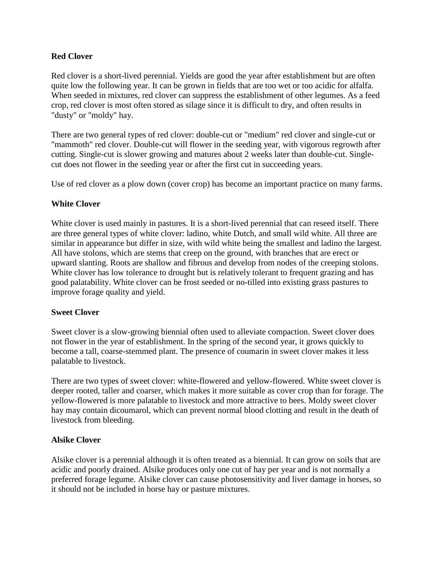# **Red Clover**

Red clover is a short-lived perennial. Yields are good the year after establishment but are often quite low the following year. It can be grown in fields that are too wet or too acidic for alfalfa. When seeded in mixtures, red clover can suppress the establishment of other legumes. As a feed crop, red clover is most often stored as silage since it is difficult to dry, and often results in "dusty" or "moldy" hay.

There are two general types of red clover: double-cut or "medium" red clover and single-cut or "mammoth" red clover. Double-cut will flower in the seeding year, with vigorous regrowth after cutting. Single-cut is slower growing and matures about 2 weeks later than double-cut. Singlecut does not flower in the seeding year or after the first cut in succeeding years.

Use of red clover as a plow down (cover crop) has become an important practice on many farms.

### **White Clover**

White clover is used mainly in pastures. It is a short-lived perennial that can reseed itself. There are three general types of white clover: ladino, white Dutch, and small wild white. All three are similar in appearance but differ in size, with wild white being the smallest and ladino the largest. All have stolons, which are stems that creep on the ground, with branches that are erect or upward slanting. Roots are shallow and fibrous and develop from nodes of the creeping stolons. White clover has low tolerance to drought but is relatively tolerant to frequent grazing and has good palatability. White clover can be frost seeded or no-tilled into existing grass pastures to improve forage quality and yield.

# **Sweet Clover**

Sweet clover is a slow-growing biennial often used to alleviate compaction. Sweet clover does not flower in the year of establishment. In the spring of the second year, it grows quickly to become a tall, coarse-stemmed plant. The presence of coumarin in sweet clover makes it less palatable to livestock.

There are two types of sweet clover: white-flowered and yellow-flowered. White sweet clover is deeper rooted, taller and coarser, which makes it more suitable as cover crop than for forage. The yellow-flowered is more palatable to livestock and more attractive to bees. Moldy sweet clover hay may contain dicoumarol, which can prevent normal blood clotting and result in the death of livestock from bleeding.

# **Alsike Clover**

Alsike clover is a perennial although it is often treated as a biennial. It can grow on soils that are acidic and poorly drained. Alsike produces only one cut of hay per year and is not normally a preferred forage legume. Alsike clover can cause photosensitivity and liver damage in horses, so it should not be included in horse hay or pasture mixtures.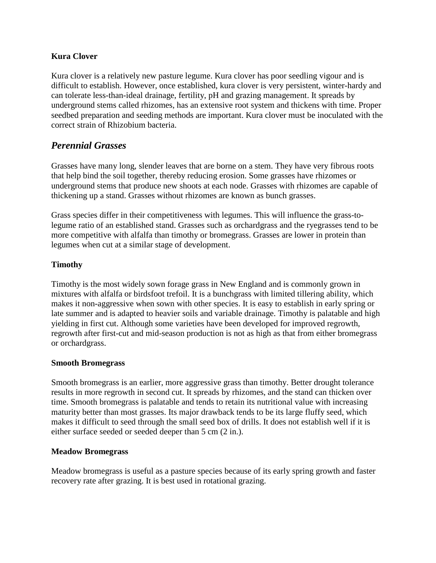### **Kura Clover**

Kura clover is a relatively new pasture legume. Kura clover has poor seedling vigour and is difficult to establish. However, once established, kura clover is very persistent, winter-hardy and can tolerate less-than-ideal drainage, fertility, pH and grazing management. It spreads by underground stems called rhizomes, has an extensive root system and thickens with time. Proper seedbed preparation and seeding methods are important. Kura clover must be inoculated with the correct strain of Rhizobium bacteria.

# *Perennial Grasses*

Grasses have many long, slender leaves that are borne on a stem. They have very fibrous roots that help bind the soil together, thereby reducing erosion. Some grasses have rhizomes or underground stems that produce new shoots at each node. Grasses with rhizomes are capable of thickening up a stand. Grasses without rhizomes are known as bunch grasses.

Grass species differ in their competitiveness with legumes. This will influence the grass-tolegume ratio of an established stand. Grasses such as orchardgrass and the ryegrasses tend to be more competitive with alfalfa than timothy or bromegrass. Grasses are lower in protein than legumes when cut at a similar stage of development.

# **Timothy**

Timothy is the most widely sown forage grass in New England and is commonly grown in mixtures with alfalfa or birdsfoot trefoil. It is a bunchgrass with limited tillering ability, which makes it non-aggressive when sown with other species. It is easy to establish in early spring or late summer and is adapted to heavier soils and variable drainage. Timothy is palatable and high yielding in first cut. Although some varieties have been developed for improved regrowth, regrowth after first-cut and mid-season production is not as high as that from either bromegrass or orchardgrass.

#### **Smooth Bromegrass**

Smooth bromegrass is an earlier, more aggressive grass than timothy. Better drought tolerance results in more regrowth in second cut. It spreads by rhizomes, and the stand can thicken over time. Smooth bromegrass is palatable and tends to retain its nutritional value with increasing maturity better than most grasses. Its major drawback tends to be its large fluffy seed, which makes it difficult to seed through the small seed box of drills. It does not establish well if it is either surface seeded or seeded deeper than 5 cm (2 in.).

#### **Meadow Bromegrass**

Meadow bromegrass is useful as a pasture species because of its early spring growth and faster recovery rate after grazing. It is best used in rotational grazing.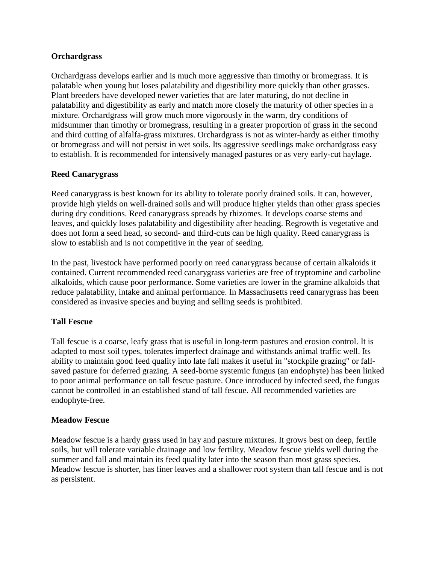### **Orchardgrass**

Orchardgrass develops earlier and is much more aggressive than timothy or bromegrass. It is palatable when young but loses palatability and digestibility more quickly than other grasses. Plant breeders have developed newer varieties that are later maturing, do not decline in palatability and digestibility as early and match more closely the maturity of other species in a mixture. Orchardgrass will grow much more vigorously in the warm, dry conditions of midsummer than timothy or bromegrass, resulting in a greater proportion of grass in the second and third cutting of alfalfa-grass mixtures. Orchardgrass is not as winter-hardy as either timothy or bromegrass and will not persist in wet soils. Its aggressive seedlings make orchardgrass easy to establish. It is recommended for intensively managed pastures or as very early-cut haylage.

### **Reed Canarygrass**

Reed canarygrass is best known for its ability to tolerate poorly drained soils. It can, however, provide high yields on well-drained soils and will produce higher yields than other grass species during dry conditions. Reed canarygrass spreads by rhizomes. It develops coarse stems and leaves, and quickly loses palatability and digestibility after heading. Regrowth is vegetative and does not form a seed head, so second- and third-cuts can be high quality. Reed canarygrass is slow to establish and is not competitive in the year of seeding.

In the past, livestock have performed poorly on reed canarygrass because of certain alkaloids it contained. Current recommended reed canarygrass varieties are free of tryptomine and carboline alkaloids, which cause poor performance. Some varieties are lower in the gramine alkaloids that reduce palatability, intake and animal performance. In Massachusetts reed canarygrass has been considered as invasive species and buying and selling seeds is prohibited.

# **Tall Fescue**

Tall fescue is a coarse, leafy grass that is useful in long-term pastures and erosion control. It is adapted to most soil types, tolerates imperfect drainage and withstands animal traffic well. Its ability to maintain good feed quality into late fall makes it useful in "stockpile grazing" or fallsaved pasture for deferred grazing. A seed-borne systemic fungus (an endophyte) has been linked to poor animal performance on tall fescue pasture. Once introduced by infected seed, the fungus cannot be controlled in an established stand of tall fescue. All recommended varieties are endophyte-free.

#### **Meadow Fescue**

Meadow fescue is a hardy grass used in hay and pasture mixtures. It grows best on deep, fertile soils, but will tolerate variable drainage and low fertility. Meadow fescue yields well during the summer and fall and maintain its feed quality later into the season than most grass species. Meadow fescue is shorter, has finer leaves and a shallower root system than tall fescue and is not as persistent.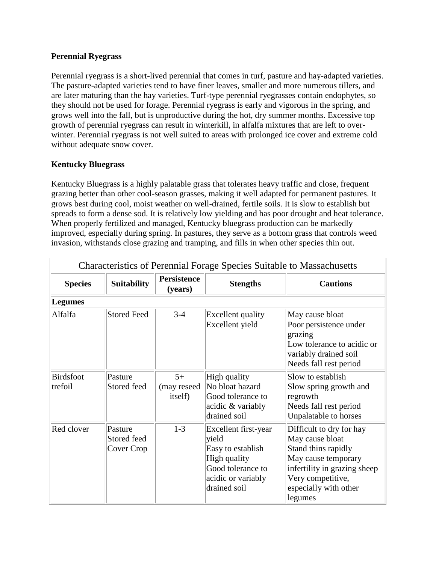### **Perennial Ryegrass**

Perennial ryegrass is a short-lived perennial that comes in turf, pasture and hay-adapted varieties. The pasture-adapted varieties tend to have finer leaves, smaller and more numerous tillers, and are later maturing than the hay varieties. Turf-type perennial ryegrasses contain endophytes, so they should not be used for forage. Perennial ryegrass is early and vigorous in the spring, and grows well into the fall, but is unproductive during the hot, dry summer months. Excessive top growth of perennial ryegrass can result in winterkill, in alfalfa mixtures that are left to overwinter. Perennial ryegrass is not well suited to areas with prolonged ice cover and extreme cold without adequate snow cover.

# **Kentucky Bluegrass**

Kentucky Bluegrass is a highly palatable grass that tolerates heavy traffic and close, frequent grazing better than other cool-season grasses, making it well adapted for permanent pastures. It grows best during cool, moist weather on well-drained, fertile soils. It is slow to establish but spreads to form a dense sod. It is relatively low yielding and has poor drought and heat tolerance. When properly fertilized and managed, Kentucky bluegrass production can be markedly improved, especially during spring. In pastures, they serve as a bottom grass that controls weed invasion, withstands close grazing and tramping, and fills in when other species thin out.

| <b>Characteristics of Perennial Forage Species Suitable to Massachusetts</b> |                                      |                                 |                                                                                                                               |                                                                                                                                                                                    |  |
|------------------------------------------------------------------------------|--------------------------------------|---------------------------------|-------------------------------------------------------------------------------------------------------------------------------|------------------------------------------------------------------------------------------------------------------------------------------------------------------------------------|--|
| <b>Species</b>                                                               | <b>Suitability</b>                   | <b>Persistence</b><br>(years)   | <b>Stengths</b>                                                                                                               | <b>Cautions</b>                                                                                                                                                                    |  |
| <b>Legumes</b>                                                               |                                      |                                 |                                                                                                                               |                                                                                                                                                                                    |  |
| Alfalfa                                                                      | <b>Stored Feed</b>                   | $3 - 4$                         | <b>Excellent</b> quality<br>Excellent yield                                                                                   | May cause bloat<br>Poor persistence under<br>grazing<br>Low tolerance to acidic or<br>variably drained soil<br>Needs fall rest period                                              |  |
| <b>Birdsfoot</b><br>trefoil                                                  | Pasture<br>Stored feed               | $5+$<br>(may reseed)<br>itself) | High quality<br>No bloat hazard<br>Good tolerance to<br>acidic & variably<br>drained soil                                     | Slow to establish<br>Slow spring growth and<br>regrowth<br>Needs fall rest period<br>Unpalatable to horses                                                                         |  |
| Red clover                                                                   | Pasture<br>Stored feed<br>Cover Crop | $1 - 3$                         | Excellent first-year<br>yield<br>Easy to establish<br>High quality<br>Good tolerance to<br>acidic or variably<br>drained soil | Difficult to dry for hay<br>May cause bloat<br>Stand thins rapidly<br>May cause temporary<br>infertility in grazing sheep<br>Very competitive,<br>especially with other<br>legumes |  |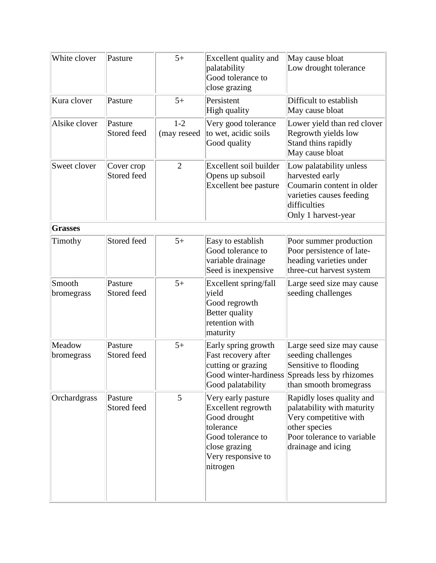| White clover         | Pasture                   | $5+$                   | Excellent quality and<br>palatability<br>Good tolerance to<br>close grazing                                                                   | May cause bloat<br>Low drought tolerance                                                                                                              |
|----------------------|---------------------------|------------------------|-----------------------------------------------------------------------------------------------------------------------------------------------|-------------------------------------------------------------------------------------------------------------------------------------------------------|
| Kura clover          | Pasture                   | $5+$                   | Persistent<br>High quality                                                                                                                    | Difficult to establish<br>May cause bloat                                                                                                             |
| Alsike clover        | Pasture<br>Stored feed    | $1 - 2$<br>(may reseed | Very good tolerance<br>to wet, acidic soils<br>Good quality                                                                                   | Lower yield than red clover<br>Regrowth yields low<br>Stand thins rapidly<br>May cause bloat                                                          |
| Sweet clover         | Cover crop<br>Stored feed | $\overline{2}$         | Excellent soil builder<br>Opens up subsoil<br>Excellent bee pasture                                                                           | Low palatability unless<br>harvested early<br>Coumarin content in older<br>varieties causes feeding<br>difficulties<br>Only 1 harvest-year            |
| <b>Grasses</b>       |                           |                        |                                                                                                                                               |                                                                                                                                                       |
| Timothy              | Stored feed               | $5+$                   | Easy to establish<br>Good tolerance to<br>variable drainage<br>Seed is inexpensive                                                            | Poor summer production<br>Poor persistence of late-<br>heading varieties under<br>three-cut harvest system                                            |
| Smooth<br>bromegrass | Pasture<br>Stored feed    | $5+$                   | Excellent spring/fall<br>yield<br>Good regrowth<br>Better quality<br>retention with<br>maturity                                               | Large seed size may cause<br>seeding challenges                                                                                                       |
| Meadow<br>bromegrass | Pasture<br>Stored feed    | $5+$                   | Early spring growth<br>Fast recovery after<br>cutting or grazing<br>Good palatability                                                         | Large seed size may cause<br>seeding challenges<br>Sensitive to flooding<br>Good winter-hardiness Spreads less by rhizomes<br>than smooth bromegrass  |
| Orchardgrass         | Pasture<br>Stored feed    | 5                      | Very early pasture<br>Excellent regrowth<br>Good drought<br>tolerance<br>Good tolerance to<br>close grazing<br>Very responsive to<br>nitrogen | Rapidly loses quality and<br>palatability with maturity<br>Very competitive with<br>other species<br>Poor tolerance to variable<br>drainage and icing |